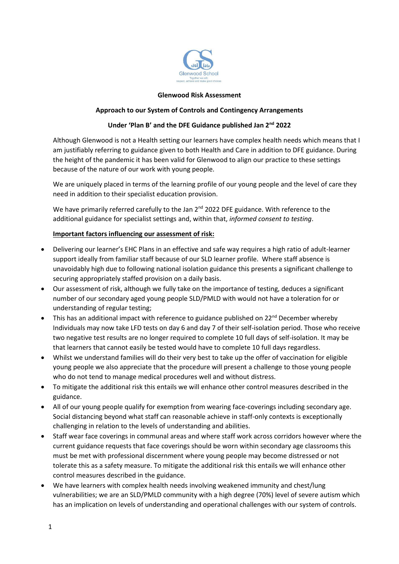

#### **Glenwood Risk Assessment**

### **Approach to our System of Controls and Contingency Arrangements**

### **Under 'Plan B' and the DFE Guidance published Jan 2nd 2022**

Although Glenwood is not a Health setting our learners have complex health needs which means that I am justifiably referring to guidance given to both Health and Care in addition to DFE guidance. During the height of the pandemic it has been valid for Glenwood to align our practice to these settings because of the nature of our work with young people.

We are uniquely placed in terms of the learning profile of our young people and the level of care they need in addition to their specialist education provision.

We have primarily referred carefully to the Jan 2<sup>nd</sup> 2022 DFE guidance. With reference to the additional guidance for specialist settings and, within that, *informed consent to testing*.

#### **Important factors influencing our assessment of risk:**

- Delivering our learner's EHC Plans in an effective and safe way requires a high ratio of adult-learner support ideally from familiar staff because of our SLD learner profile. Where staff absence is unavoidably high due to following national isolation guidance this presents a significant challenge to securing appropriately staffed provision on a daily basis.
- Our assessment of risk, although we fully take on the importance of testing, deduces a significant number of our secondary aged young people SLD/PMLD with would not have a toleration for or understanding of regular testing;
- This has an additional impact with reference to guidance published on  $22^{nd}$  December whereby Individuals may now take LFD tests on day 6 and day 7 of their self-isolation period. Those who receive two negative test results are no longer required to complete 10 full days of self-isolation. It may be that learners that cannot easily be tested would have to complete 10 full days regardless.
- Whilst we understand families will do their very best to take up the offer of vaccination for eligible young people we also appreciate that the procedure will present a challenge to those young people who do not tend to manage medical procedures well and without distress.
- To mitigate the additional risk this entails we will enhance other control measures described in the guidance.
- All of our young people qualify for exemption from wearing face-coverings including secondary age. Social distancing beyond what staff can reasonable achieve in staff-only contexts is exceptionally challenging in relation to the levels of understanding and abilities.
- Staff wear face coverings in communal areas and where staff work across corridors however where the current guidance requests that face coverings should be worn within secondary age classrooms this must be met with professional discernment where young people may become distressed or not tolerate this as a safety measure. To mitigate the additional risk this entails we will enhance other control measures described in the guidance.
- We have learners with complex health needs involving weakened immunity and chest/lung vulnerabilities; we are an SLD/PMLD community with a high degree (70%) level of severe autism which has an implication on levels of understanding and operational challenges with our system of controls.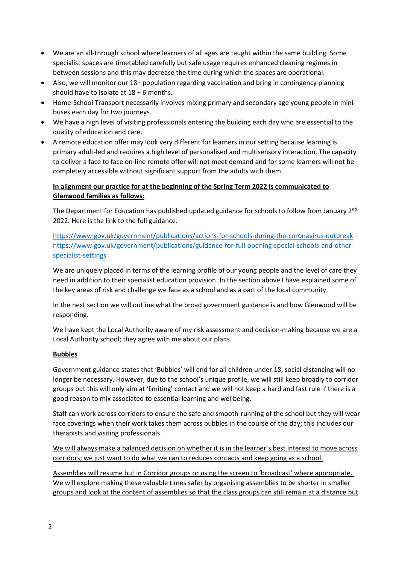- We are an all-through school where learners of all ages are taught within the same building. Some specialist spaces are timetabled carefully but safe usage requires enhanced cleaning regimes in between sessions and this may decrease the time during which the spaces are operational.
- Also, we will monitor our 18+ population regarding vaccination and bring in contingency planning should have to isolate at 18 + 6 months.
- Home-School Transport necessarily involves mixing primary and secondary age young people in minibuses each day for two journeys.
- We have a high level of visiting professionals entering the building each day who are essential to the quality of education and care.
- A remote education offer may look very different for learners in our setting because learning is primary adult-led and requires a high level of personalised and multisensory interaction. The capacity to deliver a face to face on-line remote offer will not meet demand and for some learners will not be completely accessible without significant support from the adults with them.

# **In alignment our practice for at the beginning of the Spring Term 2022 is communicated to Glenwood families as follows:**

The Department for Education has published updated guidance for schools to follow from January 2<sup>nd</sup> 2022. Here is the link to the full guidance.

<https://www.gov.uk/government/publications/actions-for-schools-during-the-coronavirus-outbreak> [https://www.gov.uk/government/publications/guidance-for-full-opening-special-schools-and-other](https://www.gov.uk/government/publications/guidance-for-full-opening-special-schools-and-other-specialist-settings)[specialist-settings](https://www.gov.uk/government/publications/guidance-for-full-opening-special-schools-and-other-specialist-settings)

We are uniquely placed in terms of the learning profile of our young people and the level of care they need in addition to their specialist education provision. In the section above I have explained some of the key areas of risk and challenge we face as a school and as a part of the local community.

In the next section we will outline what the broad government guidance is and how Glenwood will be responding.

We have kept the Local Authority aware of my risk assessment and decision-making because we are a Local Authority school; they agree with me about our plans.

## **Bubbles**

Government guidance states that 'Bubbles' will end for all children under 18, social distancing will no longer be necessary. However, due to the school's unique profile, we will still keep broadly to corridor groups but this will only aim at 'limiting' contact and we will not keep a hard and fast rule if there is a good reason to mix associated to essential learning and wellbeing.

Staff can work across corridors to ensure the safe and smooth-running of the school but they will wear face coverings when their work takes them across bubbles in the course of the day; this includes our therapists and visiting professionals.

We will always make a balanced decision on whether it is in the learner's best interest to move across corridors; we just want to do what we can to reduces contacts and keep going as a school.

Assemblies will resume but in Corridor groups or using the screen to 'broadcast' where appropriate.  We will explore making these valuable times safer by organising assemblies to be shorter in smaller groups and look at the content of assemblies so that the class groups can still remain at a distance but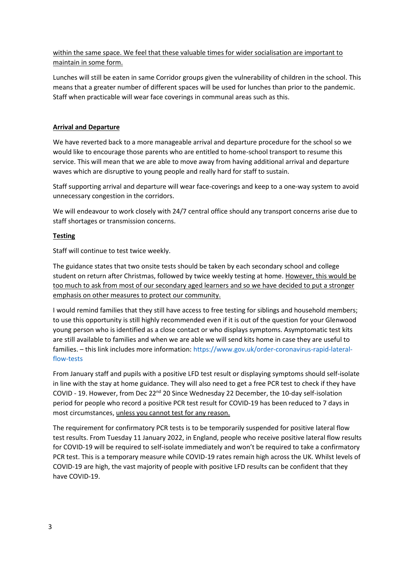# within the same space. We feel that these valuable times for wider socialisation are important to maintain in some form.

Lunches will still be eaten in same Corridor groups given the vulnerability of children in the school. This means that a greater number of different spaces will be used for lunches than prior to the pandemic. Staff when practicable will wear face coverings in communal areas such as this.

# **Arrival and Departure**

We have reverted back to a more manageable arrival and departure procedure for the school so we would like to encourage those parents who are entitled to home-school transport to resume this service. This will mean that we are able to move away from having additional arrival and departure waves which are disruptive to young people and really hard for staff to sustain.

Staff supporting arrival and departure will wear face-coverings and keep to a one-way system to avoid unnecessary congestion in the corridors.

We will endeavour to work closely with 24/7 central office should any transport concerns arise due to staff shortages or transmission concerns.

## **Testing**

Staff will continue to test twice weekly.

The guidance states that two onsite tests should be taken by each secondary school and college student on return after Christmas, followed by twice weekly testing at home. However, this would be too much to ask from most of our secondary aged learners and so we have decided to put a stronger emphasis on other measures to protect our community.

I would remind families that they still have access to free testing for siblings and household members; to use this opportunity is still highly recommended even if it is out of the question for your Glenwood young person who is identified as a close contact or who displays symptoms. Asymptomatic test kits are still available to families and when we are able we will send kits home in case they are useful to families. – this link includes more information: [https://www.gov.uk/order-coronavirus-rapid-lateral](https://www.gov.uk/order-coronavirus-rapid-lateral-flow-tests)[flow-tests](https://www.gov.uk/order-coronavirus-rapid-lateral-flow-tests)

From January staff and pupils with a positive LFD test result or displaying symptoms should self-isolate in line with the stay at home guidance. They will also need to get a free PCR test to check if they have COVID - 19. However, from Dec 22<sup>nd</sup> 20 Since Wednesday 22 December, the 10-day self-isolation period for people who record a positive PCR test result for COVID-19 has been reduced to 7 days in most circumstances, unless you cannot test for any reason.

The requirement for confirmatory PCR tests is to be temporarily suspended for positive lateral flow test results. From Tuesday 11 January 2022, in England, people who receive positive lateral flow results for COVID-19 will be required to self-isolate immediately and won't be required to take a confirmatory PCR test. This is a temporary measure while COVID-19 rates remain high across the UK. Whilst levels of COVID-19 are high, the vast majority of people with positive LFD results can be confident that they have COVID-19.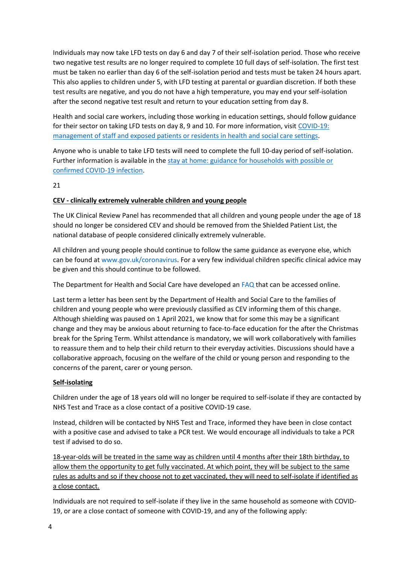Individuals may now take LFD tests on day 6 and day 7 of their self-isolation period. Those who receive two negative test results are no longer required to complete 10 full days of self-isolation. The first test must be taken no earlier than day 6 of the self-isolation period and tests must be taken 24 hours apart. This also applies to children under 5, with LFD testing at parental or guardian discretion. If both these test results are negative, and you do not have a high temperature, you may end your self-isolation after the second negative test result and return to your education setting from day 8.

Health and social care workers, including those working in education settings, should follow guidance for their sector on taking LFD tests on day 8, 9 and 10. For more information, visit [COVID-19:](https://www.gov.uk/government/publications/covid-19-management-of-exposed-healthcare-workers-and-patients-in-hospital-settings/covid-19-management-of-exposed-healthcare-workers-and-patients-in-hospital-settings?utm_source=2%20January%202022%20C19&utm_medium=Daily%20Email%20C19&utm_campaign=DfE%20C19)  [management of staff and exposed patients or residents in health and social care settings.](https://www.gov.uk/government/publications/covid-19-management-of-exposed-healthcare-workers-and-patients-in-hospital-settings/covid-19-management-of-exposed-healthcare-workers-and-patients-in-hospital-settings?utm_source=2%20January%202022%20C19&utm_medium=Daily%20Email%20C19&utm_campaign=DfE%20C19)

Anyone who is unable to take LFD tests will need to complete the full 10-day period of self-isolation. Further information is available in the stay at home: guidance for households with possible or [confirmed COVID-19 infection.](https://www.gov.uk/government/publications/covid-19-stay-at-home-guidance/stay-at-home-guidance-for-households-with-possible-coronavirus-covid-19-infection?utm_source=2%20January%202022%20C19&utm_medium=Daily%20Email%20C19&utm_campaign=DfE%20C19)

### 21

## **CEV - clinically extremely vulnerable children and young people**

The UK Clinical Review Panel has recommended that all children and young people under the age of 18 should no longer be considered CEV and should be removed from the Shielded Patient List, the national database of people considered clinically extremely vulnerable.

All children and young people should continue to follow the same guidance as everyone else, which can be found a[t www.gov.uk/coronavirus.](http://www.gov.uk/coronavirus/?utm_source=26%20August%202021%20C19&utm_medium=Daily%20Email%20C19&utm_campaign=DfE%20C19) For a very few individual children specific clinical advice may be given and this should continue to be followed.

The Department for Health and Social Care have developed an [FAQ](https://elearning.rcgp.org.uk/pluginfile.php/170159/mod_resource/content/1/CYP%20FAQs%20FINAL.pdf) that can be accessed online.

Last term a letter has been sent by the Department of Health and Social Care to the families of children and young people who were previously classified as CEV informing them of this change. Although shielding was paused on 1 April 2021, we know that for some this may be a significant change and they may be anxious about returning to face-to-face education for the after the Christmas break for the Spring Term. Whilst attendance is mandatory, we will work collaboratively with families to reassure them and to help their child return to their everyday activities. Discussions should have a collaborative approach, focusing on the welfare of the child or young person and responding to the concerns of the parent, carer or young person.

### **Self-isolating**

Children under the age of 18 years old will no longer be required to self-isolate if they are contacted by NHS Test and Trace as a close contact of a positive COVID-19 case.

Instead, children will be contacted by NHS Test and Trace, informed they have been in close contact with a positive case and advised to take a PCR test. We would encourage all individuals to take a PCR test if advised to do so.

18-year-olds will be treated in the same way as children until 4 months after their 18th birthday, to allow them the opportunity to get fully vaccinated. At which point, they will be subject to the same rules as adults and so if they choose not to get vaccinated, they will need to self-isolate if identified as a close contact.

Individuals are not required to self-isolate if they live in the same household as someone with COVID-19, or are a close contact of someone with COVID-19, and any of the following apply: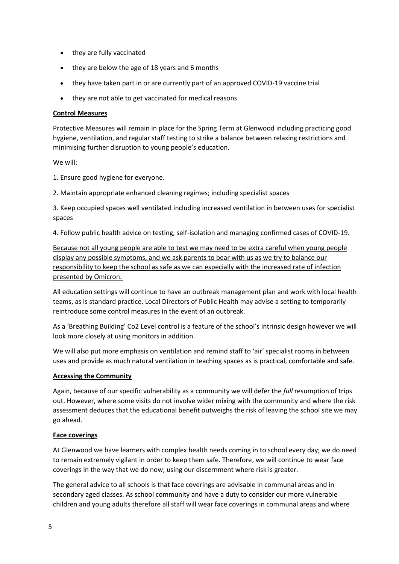- they are fully vaccinated
- they are below the age of 18 years and 6 months
- they have taken part in or are currently part of an approved COVID-19 vaccine trial
- they are not able to get vaccinated for medical reasons

### **Control Measures**

Protective Measures will remain in place for the Spring Term at Glenwood including practicing good hygiene, ventilation, and regular staff testing to strike a balance between relaxing restrictions and minimising further disruption to young people's education.

We will:

1. Ensure good hygiene for everyone.

2. Maintain appropriate enhanced cleaning regimes; including specialist spaces

3. Keep occupied spaces well ventilated including increased ventilation in between uses for specialist spaces

4. Follow public health advice on testing, self-isolation and managing confirmed cases of COVID-19.

Because not all young people are able to test we may need to be extra careful when young people display any possible symptoms, and we ask parents to bear with us as we try to balance our responsibility to keep the school as safe as we can especially with the increased rate of infection presented by Omicron.

All education settings will continue to have an outbreak management plan and work with local health teams, as is standard practice. Local Directors of Public Health may advise a setting to temporarily reintroduce some control measures in the event of an outbreak.  

As a 'Breathing Building' Co2 Level control is a feature of the school's intrinsic design however we will look more closely at using monitors in addition.

We will also put more emphasis on ventilation and remind staff to 'air' specialist rooms in between uses and provide as much natural ventilation in teaching spaces as is practical, comfortable and safe.

### **Accessing the Community**

Again, because of our specific vulnerability as a community we will defer the *full* resumption of trips out. However, where some visits do not involve wider mixing with the community and where the risk assessment deduces that the educational benefit outweighs the risk of leaving the school site we may go ahead.

### **Face coverings**

At Glenwood we have learners with complex health needs coming in to school every day; we do need to remain extremely vigilant in order to keep them safe. Therefore, we will continue to wear face coverings in the way that we do now; using our discernment where risk is greater.

The general advice to all schools is that face coverings are advisable in communal areas and in secondary aged classes. As school community and have a duty to consider our more vulnerable children and young adults therefore all staff will wear face coverings in communal areas and where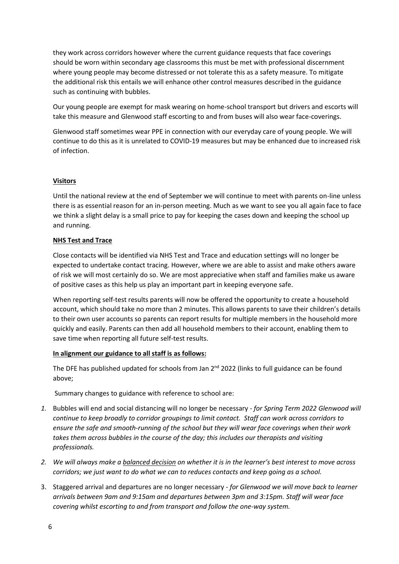they work across corridors however where the current guidance requests that face coverings should be worn within secondary age classrooms this must be met with professional discernment where young people may become distressed or not tolerate this as a safety measure. To mitigate the additional risk this entails we will enhance other control measures described in the guidance such as continuing with bubbles.

Our young people are exempt for mask wearing on home-school transport but drivers and escorts will take this measure and Glenwood staff escorting to and from buses will also wear face-coverings.

Glenwood staff sometimes wear PPE in connection with our everyday care of young people. We will continue to do this as it is unrelated to COVID-19 measures but may be enhanced due to increased risk of infection.

## **Visitors**

Until the national review at the end of September we will continue to meet with parents on-line unless there is as essential reason for an in-person meeting. Much as we want to see you all again face to face we think a slight delay is a small price to pay for keeping the cases down and keeping the school up and running.

## **NHS Test and Trace**

Close contacts will be identified via NHS Test and Trace and education settings will no longer be expected to undertake contact tracing. However, where we are able to assist and make others aware of risk we will most certainly do so. We are most appreciative when staff and families make us aware of positive cases as this help us play an important part in keeping everyone safe.

When reporting self-test results parents will now be offered the opportunity to create a household account, which should take no more than 2 minutes. This allows parents to save their children's details to their own user accounts so parents can report results for multiple members in the household more quickly and easily. Parents can then add all household members to their account, enabling them to save time when reporting all future self-test results.

## **In alignment our guidance to all staff is as follows:**

The DFE has published updated for schools from Jan 2<sup>nd</sup> 2022 (links to full guidance can be found above;

## Summary changes to guidance with reference to school are:

- *1.* Bubbles will end and social distancing will no longer be necessary *for Spring Term 2022 Glenwood will continue to keep broadly to corridor groupings to limit contact. Staff can work across corridors to ensure the safe and smooth-running of the school but they will wear face coverings when their work takes them across bubbles in the course of the day; this includes our therapists and visiting professionals.*
- *2. We will always make a balanced decision on whether it is in the learner's best interest to move across corridors; we just want to do what we can to reduces contacts and keep going as a school.*
- 3. Staggered arrival and departures are no longer necessary *for Glenwood we will move back to learner arrivals between 9am and 9:15am and departures between 3pm and 3:15pm. Staff will wear face covering whilst escorting to and from transport and follow the one-way system.*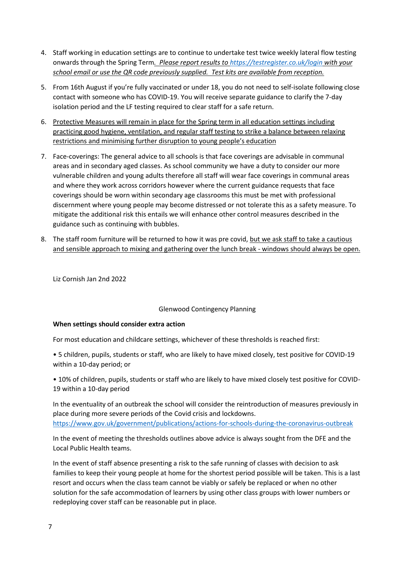- 4. Staff working in education settings are to continue to undertake test twice weekly lateral flow testing onwards through the Spring Term*. Please report results to<https://testregister.co.uk/login> with your school email or use the QR code previously supplied. Test kits are available from reception.*
- 5. From 16th August if you're fully vaccinated or under 18, you do not need to self-isolate following close contact with someone who has COVID-19. You will receive separate guidance to clarify the 7-day isolation period and the LF testing required to clear staff for a safe return.
- 6. Protective Measures will remain in place for the Spring term in all education settings including practicing good hygiene, ventilation, and regular staff testing to strike a balance between relaxing restrictions and minimising further disruption to young people's education
- 7. Face-coverings: The general advice to all schools is that face coverings are advisable in communal areas and in secondary aged classes. As school community we have a duty to consider our more vulnerable children and young adults therefore all staff will wear face coverings in communal areas and where they work across corridors however where the current guidance requests that face coverings should be worn within secondary age classrooms this must be met with professional discernment where young people may become distressed or not tolerate this as a safety measure. To mitigate the additional risk this entails we will enhance other control measures described in the guidance such as continuing with bubbles.
- 8. The staff room furniture will be returned to how it was pre covid, but we ask staff to take a cautious and sensible approach to mixing and gathering over the lunch break - windows should always be open.

Liz Cornish Jan 2nd 2022

### Glenwood Contingency Planning

### **When settings should consider extra action**

For most education and childcare settings, whichever of these thresholds is reached first:

• 5 children, pupils, students or staff, who are likely to have mixed closely, test positive for COVID-19 within a 10-day period; or

• 10% of children, pupils, students or staff who are likely to have mixed closely test positive for COVID-19 within a 10-day period

In the eventuality of an outbreak the school will consider the reintroduction of measures previously in place during more severe periods of the Covid crisis and lockdowns. <https://www.gov.uk/government/publications/actions-for-schools-during-the-coronavirus-outbreak>

In the event of meeting the thresholds outlines above advice is always sought from the DFE and the Local Public Health teams.

In the event of staff absence presenting a risk to the safe running of classes with decision to ask families to keep their young people at home for the shortest period possible will be taken. This is a last resort and occurs when the class team cannot be viably or safely be replaced or when no other solution for the safe accommodation of learners by using other class groups with lower numbers or redeploying cover staff can be reasonable put in place.